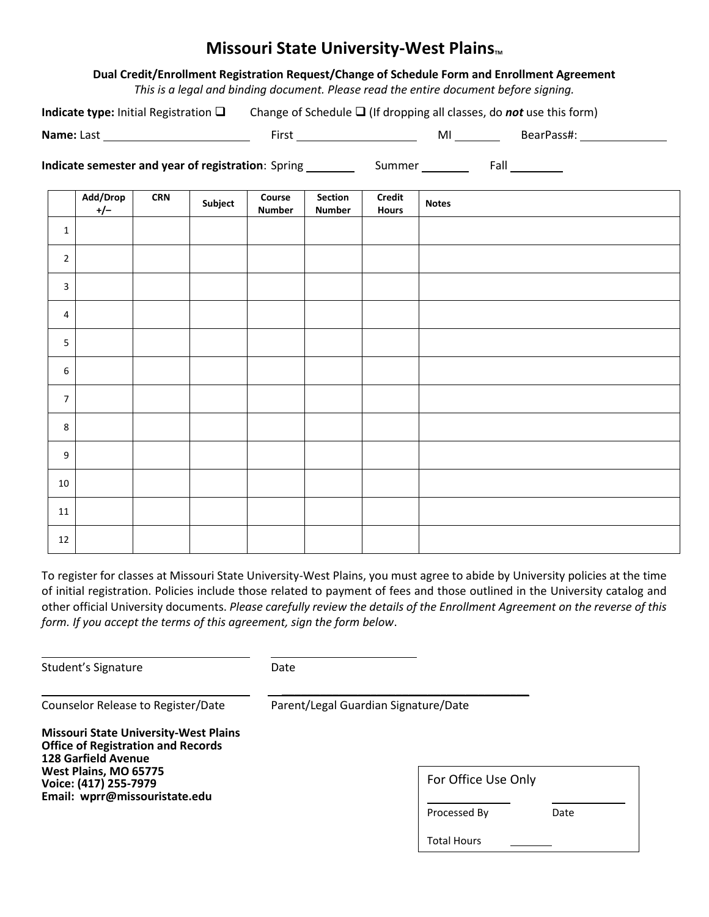# **Missouri State University-West Plains**

## **Dual Credit/Enrollment Registration Request/Change of Schedule Form and Enrollment Agreement**

*This is a legal and binding document. Please read the entire document before signing.*

**Indicate type:** Initial Registration  $\Box$  Change of Schedule  $\Box$  (If dropping all classes, do *not* use this form)

**Name:** Last First MI BearPass#:

**Indicate semester and year of registration**: Spring Summer Fall

|                         | Add/Drop<br>$+/-$ | $\ensuremath{\mathsf{CRN}}$ | Subject | Course<br><b>Number</b> | Section<br><b>Number</b> | Credit<br><b>Hours</b> | <b>Notes</b> |
|-------------------------|-------------------|-----------------------------|---------|-------------------------|--------------------------|------------------------|--------------|
| $\mathbf 1$             |                   |                             |         |                         |                          |                        |              |
| $\overline{2}$          |                   |                             |         |                         |                          |                        |              |
| $\overline{\mathbf{3}}$ |                   |                             |         |                         |                          |                        |              |
| $\overline{4}$          |                   |                             |         |                         |                          |                        |              |
| $\overline{\mathbf{5}}$ |                   |                             |         |                         |                          |                        |              |
| $\boldsymbol{6}$        |                   |                             |         |                         |                          |                        |              |
| $\boldsymbol{7}$        |                   |                             |         |                         |                          |                        |              |
| $\,8\,$                 |                   |                             |         |                         |                          |                        |              |
| $\boldsymbol{9}$        |                   |                             |         |                         |                          |                        |              |
| $10\,$                  |                   |                             |         |                         |                          |                        |              |
| $11\,$                  |                   |                             |         |                         |                          |                        |              |
| 12                      |                   |                             |         |                         |                          |                        |              |

To register for classes at Missouri State University-West Plains, you must agree to abide by University policies at the time of initial registration. Policies include those related to payment of fees and those outlined in the University catalog and other official University documents. *Please carefully review the details of the Enrollment Agreement on the reverse of this form. If you accept the terms of this agreement, sign the form below*.

Student's Signature Date

Counselor Release to Register/Date Parent/Legal Guardian Signature/Date

 $\frac{1}{2}$  ,  $\frac{1}{2}$  ,  $\frac{1}{2}$  ,  $\frac{1}{2}$  ,  $\frac{1}{2}$  ,  $\frac{1}{2}$  ,  $\frac{1}{2}$  ,  $\frac{1}{2}$  ,  $\frac{1}{2}$  ,  $\frac{1}{2}$  ,  $\frac{1}{2}$  ,  $\frac{1}{2}$  ,  $\frac{1}{2}$  ,  $\frac{1}{2}$  ,  $\frac{1}{2}$  ,  $\frac{1}{2}$  ,  $\frac{1}{2}$  ,  $\frac{1}{2}$  ,  $\frac{1$ 

**Missouri State University-West Plains Office of Registration and Records 128 Garfield Avenue West Plains, MO 65775 Voice: (417) 255-7979 Email: wprr@missouristate.edu**

| For Office Use Only |  |
|---------------------|--|
|---------------------|--|

Processed By Date

Total Hours